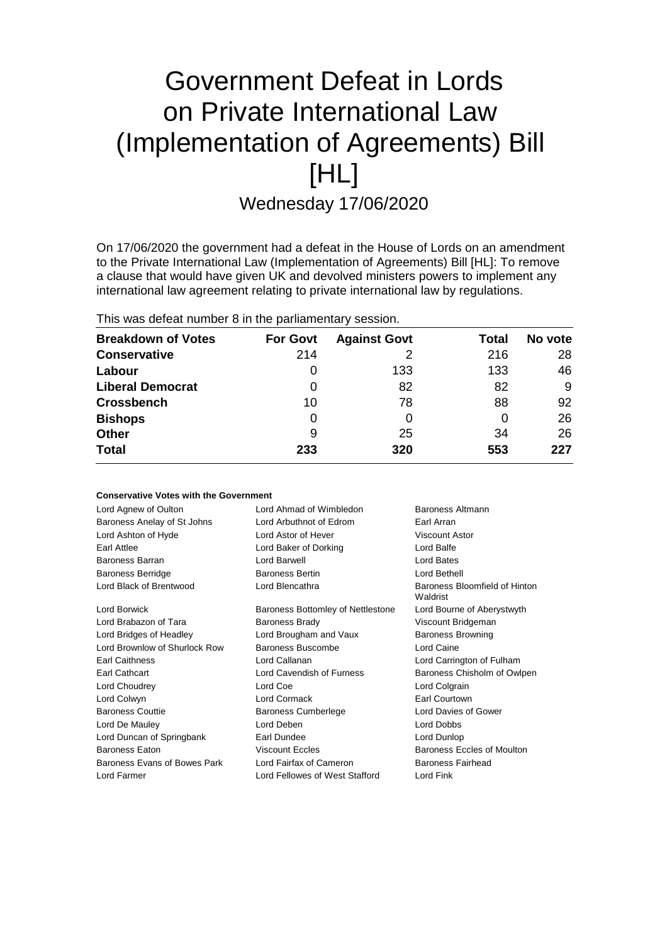# Government Defeat in Lords on Private International Law (Implementation of Agreements) Bill [HL]

Wednesday 17/06/2020

On 17/06/2020 the government had a defeat in the House of Lords on an amendment to the Private International Law (Implementation of Agreements) Bill [HL]: To remove a clause that would have given UK and devolved ministers powers to implement any international law agreement relating to private international law by regulations.

This was defeat number 8 in the parliamentary session.

| <b>Breakdown of Votes</b> | <b>For Govt</b> | <b>Against Govt</b> | Total | No vote |
|---------------------------|-----------------|---------------------|-------|---------|
| <b>Conservative</b>       | 214             |                     | 216   | 28      |
| Labour                    | O               | 133                 | 133   | 46      |
| <b>Liberal Democrat</b>   | O               | 82                  | 82    | 9       |
| <b>Crossbench</b>         | 10              | 78                  | 88    | 92      |
| <b>Bishops</b>            | 0               | 0                   | 0     | 26      |
| Other                     | 9               | 25                  | 34    | 26      |
| <b>Total</b>              | 233             | 320                 | 553   | 227     |
|                           |                 |                     |       |         |

### **Conservative Votes with the Government**

| Lord Agnew of Oulton          | Lord Ahmad of Wimbledon           | Baroness Altmann                          |
|-------------------------------|-----------------------------------|-------------------------------------------|
| Baroness Anelay of St Johns   | Lord Arbuthnot of Edrom           | Earl Arran                                |
| Lord Ashton of Hyde           | Lord Astor of Hever               | Viscount Astor                            |
| Earl Attlee                   | Lord Baker of Dorking             | Lord Balfe                                |
| Baroness Barran               | Lord Barwell                      | Lord Bates                                |
| <b>Baroness Berridge</b>      | <b>Baroness Bertin</b>            | Lord Bethell                              |
| Lord Black of Brentwood       | Lord Blencathra                   | Baroness Bloomfield of Hinton<br>Waldrist |
| Lord Borwick                  | Baroness Bottomley of Nettlestone | Lord Bourne of Aberystwyth                |
| Lord Brabazon of Tara         | <b>Baroness Brady</b>             | Viscount Bridgeman                        |
| Lord Bridges of Headley       | Lord Brougham and Vaux            | <b>Baroness Browning</b>                  |
| Lord Brownlow of Shurlock Row | Baroness Buscombe                 | Lord Caine                                |
| <b>Earl Caithness</b>         | Lord Callanan                     | Lord Carrington of Fulham                 |
| Earl Cathcart                 | Lord Cavendish of Furness         | Baroness Chisholm of Owlpen               |
| Lord Choudrey                 | Lord Coe                          | Lord Colgrain                             |
| Lord Colwyn                   | Lord Cormack                      | Earl Courtown                             |
| <b>Baroness Couttie</b>       | Baroness Cumberlege               | Lord Davies of Gower                      |
| Lord De Mauley                | Lord Deben                        | Lord Dobbs                                |
| Lord Duncan of Springbank     | Earl Dundee                       | Lord Dunlop                               |
| <b>Baroness Eaton</b>         | <b>Viscount Eccles</b>            | Baroness Eccles of Moulton                |
| Baroness Evans of Bowes Park  | Lord Fairfax of Cameron           | <b>Baroness Fairhead</b>                  |
| Lord Farmer                   | Lord Fellowes of West Stafford    | Lord Fink                                 |
|                               |                                   |                                           |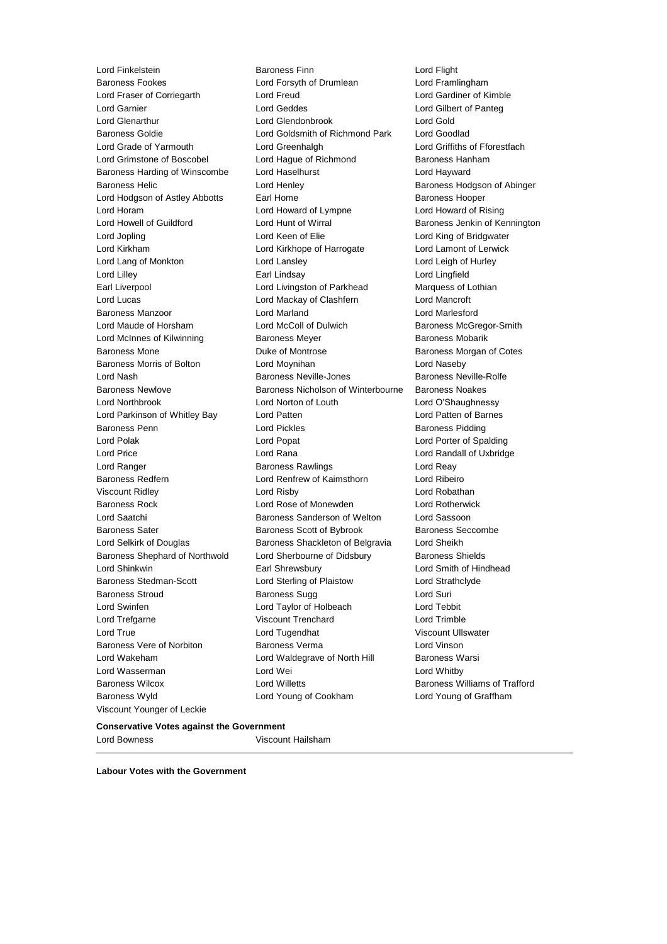Baroness Fookes Lord Forsyth of Drumlean Lord Framlingham Lord Fraser of Corriegarth Lord Freud Lord Gardiner of Kimble Lord Garnier Lord Geddes Lord Gilbert of Panteg Lord Glenarthur Lord Glendonbrook Lord Gold Baroness Goldie Lord Goldsmith of Richmond Park Lord Goodlad Lord Grade of Yarmouth Lord Greenhalgh Lord Griffiths of Fforestfach Lord Grimstone of Boscobel **Lord Hague of Richmond** Baroness Hanham Baroness Harding of Winscombe Lord Haselhurst Lord Hayward Baroness Helic **Abinger** Lord Henley **Baroness Hodgson of Abinger Baroness Hodgson of Abinger** Lord Hodgson of Astley Abbotts Earl Home **Baroness Hooper** Baroness Hooper Lord Horam **Lord Howard of Lympne** Lord Howard of Rising Lord Howell of Guildford Lord Hunt of Wirral Baroness Jenkin of Kennington Lord Jopling **Lord Communist Lord Keen of Elie** Lord King of Bridgwater Lord Kirkham Lord Kirkhope of Harrogate Lord Lamont of Lerwick Lord Lang of Monkton Lord Lansley Lord Leigh of Hurley Lord Lilley Earl Lindsay Lord Lingfield Earl Liverpool Lord Livingston of Parkhead Marquess of Lothian Lord Lucas Lord Mackay of Clashfern Lord Mancroft Baroness Manzoor Lord Marland Lord Marlesford Lord Maude of Horsham **Lord McColl of Dulwich** Baroness McGregor-Smith Lord McInnes of Kilwinning **Baroness Meyer** Baroness Mobarik Baroness Mone **Duke of Montrose** Baroness Morgan of Cotes Baroness Morris of Bolton Lord Moynihan Lord Naseby Lord Nash Baroness Neville-Jones Baroness Neville-Rolfe Baroness Newlove Baroness Nicholson of Winterbourne Baroness Noakes Lord Northbrook Lord Norton of Louth Lord O'Shaughnessy Lord Parkinson of Whitley Bay Lord Patten Lord Patten of Barnes Baroness Penn **Lord Pickles Baroness Pidding** Lord Polak Lord Popat Lord Porter of Spalding Lord Price Lord Rana Lord Randall of Uxbridge Lord Ranger Baroness Rawlings Lord Reay Baroness Redfern Lord Renfrew of Kaimsthorn Lord Ribeiro Viscount Ridley Lord Risby Lord Robathan Baroness Rock Lord Rose of Monewden Lord Rotherwick Lord Saatchi Baroness Sanderson of Welton Lord Sassoon Baroness Sater **Baroness Scott of Bybrook** Baroness Seccombe Lord Selkirk of Douglas Baroness Shackleton of Belgravia Lord Sheikh Baroness Shephard of Northwold Lord Sherbourne of Didsbury Baroness Shields Lord Shinkwin Earl Shrewsbury Lord Smith of Hindhead Baroness Stedman-Scott Lord Sterling of Plaistow Lord Strathclyde Baroness Stroud **Baroness Sugg Contains Containers** Lord Suri Lord Swinfen Lord Taylor of Holbeach Lord Tebbit Lord Trefgarne Viscount Trenchard Lord Trimble Lord True Lord Tugendhat Viscount Ullswater Baroness Vere of Norbiton Baroness Verma Lord Vinson Lord Wakeham **Lord Waldegrave of North Hill** Baroness Warsi Lord Wasserman Lord Wei Lord Whitby Baroness Wilcox Lord Willetts Baroness Williams of Trafford Baroness Wyld Lord Young of Cookham Lord Young of Graffham Viscount Younger of Leckie

Lord Finkelstein Baroness Finn Lord Flight

#### **Conservative Votes against the Government**

Lord Bowness **Viscount Hailsham** 

**Labour Votes with the Government**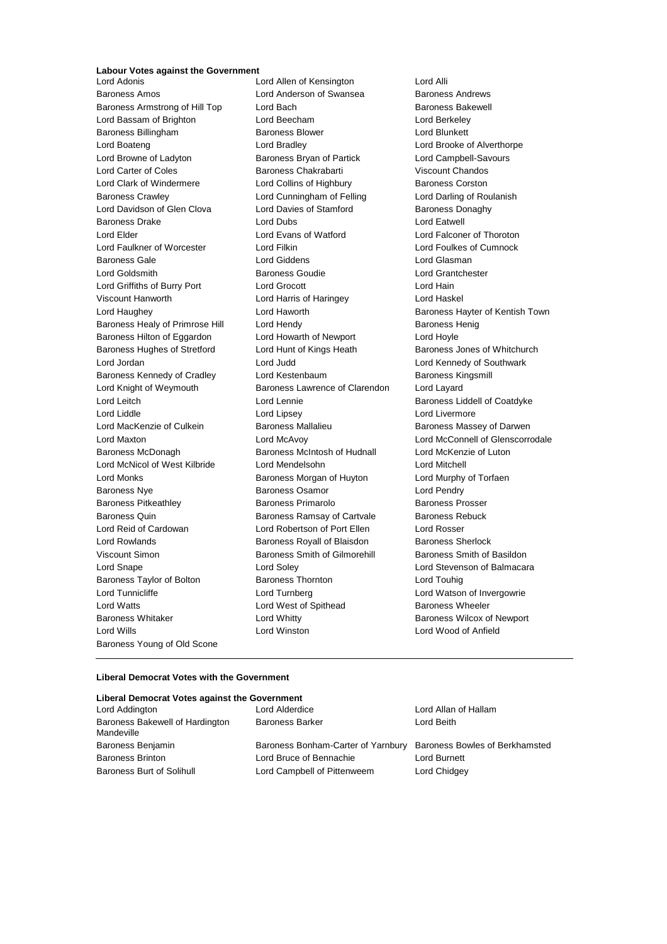# **Labour Votes against the Government**

Baroness Amos Lord Anderson of Swansea Baroness Andrews Baroness Armstrong of Hill Top Lord Bach Baroness Bakewell Lord Bassam of Brighton Lord Beecham Lord Berkeley Baroness Billingham Baroness Blower Lord Blunkett Lord Boateng Lord Bradley Lord Brooke of Alverthorpe Lord Browne of Ladyton Baroness Bryan of Partick Lord Campbell-Savours Lord Carter of Coles Baroness Chakrabarti Viscount Chandos Lord Clark of Windermere **Lord Collins of Highbury** Baroness Corston Baroness Crawley Lord Cunningham of Felling Lord Darling of Roulanish Lord Davidson of Glen Clova Lord Davies of Stamford Baroness Donaghy Baroness Drake Lord Dubs Lord Eatwell Lord Elder Lord Evans of Watford Lord Falconer of Thoroton Lord Faulkner of Worcester Lord Filkin Lord Foulkes of Cumnock Baroness Gale **Lord Giddens** Lord Giddens **Lord Gines** Lord Giasman Lord Goldsmith Baroness Goudie Lord Grantchester Lord Griffiths of Burry Port Lord Grocott Lord Hain Viscount Hanworth Lord Harris of Haringey Lord Haskel Lord Haughey **Lord Haworth Communist Communist Communist Communist Communist Communist Communist Communist Communist Communist Communist Communist Communist Communist Communist Communist Communist Communist Communist Commu** Baroness Healy of Primrose Hill Lord Hendy **Baroness Henig** Baroness Henig Baroness Hilton of Eggardon Lord Howarth of Newport Lord Hoyle Baroness Hughes of Stretford Lord Hunt of Kings Heath Baroness Jones of Whitchurch Lord Jordan Lord Judd Lord Kennedy of Southwark Baroness Kennedy of Cradley Lord Kestenbaum Baroness Kingsmill Lord Knight of Weymouth Baroness Lawrence of Clarendon Lord Layard Lord Leitch **Lord Lennie** Lord Lennie **Baroness Liddell of Coatdyke** Lord Liddle Lord Lipsey Lord Linguist Lord Livermore<br>
Lord MacKenzie of Culkein Baroness Mallalieu Baroness Mass Lord Maxton Lord McAvoy Lord McConnell of Glenscorrodale Baroness McDonagh Baroness McIntosh of Hudnall Lord McKenzie of Luton Lord McNicol of West Kilbride Lord Mendelsohn Lord Mitchell Lord Monks Baroness Morgan of Huyton Lord Murphy of Torfaen Baroness Nye **Baroness Osamor** Baroness Osamor **Lord Pendry** Baroness Pitkeathley **Baroness Primarolo** Baroness Prosser Baroness Quin **Baroness Ramsay of Cartvale** Baroness Rebuck Lord Reid of Cardowan Lord Robertson of Port Ellen Lord Rosser Lord Rowlands Baroness Royall of Blaisdon Baroness Sherlock Viscount Simon Baroness Smith of Gilmorehill Baroness Smith of Basildon Lord Snape Lord Soley Lord Stevenson of Balmacara Baroness Taylor of Bolton **Baroness Thornton** Baroness Thornton **Lord Touhig** Lord Tunnicliffe **Lord Turnberg** Lord Turnberg Lord Watson of Invergowrie Lord Watts **Lord West of Spithead** Baroness Wheeler Baroness Whitaker **Lord Whitty Lord Whitty** Baroness Wilcox of Newport Lord Wills Lord Winston Lord Wood of Anfield Baroness Young of Old Scone

Lord Allen of Kensington Lord Alli Baroness Mallalieu **Baroness Massey of Darwen** 

#### **Liberal Democrat Votes with the Government**

#### **Liberal Democrat Votes against the Government**

| Lord Addington                                | Lord Alderdice                                                    | Lord Allan of Hallam |
|-----------------------------------------------|-------------------------------------------------------------------|----------------------|
| Baroness Bakewell of Hardington<br>Mandeville | <b>Baroness Barker</b>                                            | Lord Beith           |
| Baroness Benjamin                             | Baroness Bonham-Carter of Yarnbury Baroness Bowles of Berkhamsted |                      |
| <b>Baroness Brinton</b>                       | Lord Bruce of Bennachie                                           | Lord Burnett         |
| Baroness Burt of Solihull                     | Lord Campbell of Pittenweem                                       | Lord Chidgey         |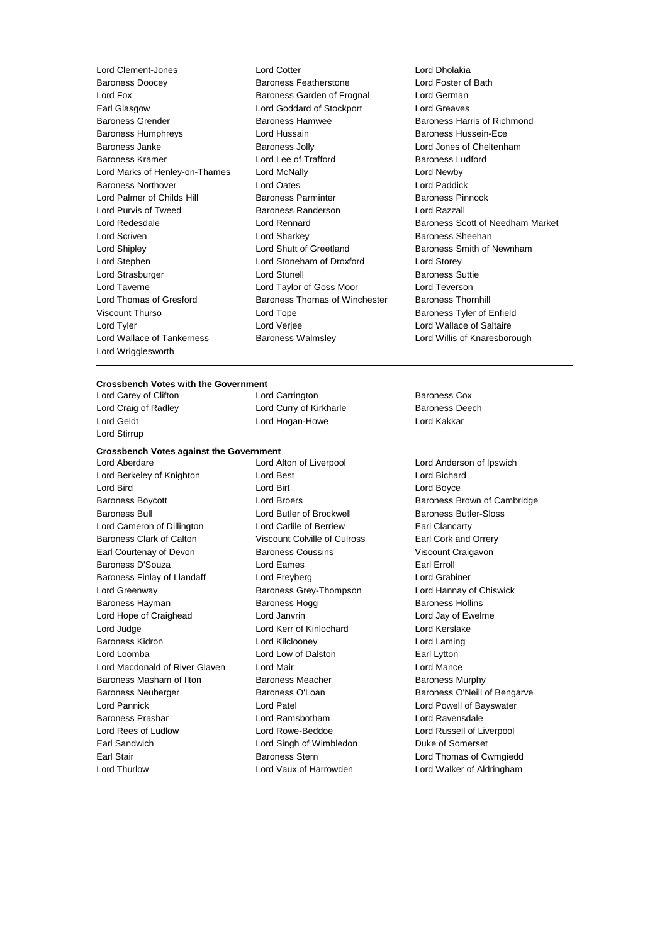Baroness Doocey **Baroness Featherstone** Lord Fox Baroness Garden of Frognal Lord German Earl Glasgow **Lord Goddard of Stockport** Lord Greaves Baroness Grender Baroness Hamwee Baroness Harris of Richmond Baroness Humphreys Lord Hussain Baroness Hussein-Ece Baroness Janke Baroness Jolly Lord Jones of Cheltenham Baroness Kramer Lord Lee of Trafford Baroness Ludford Lord Marks of Henley-on-Thames Lord McNally Lord Newby Baroness Northover Lord Oates Lord Paddick Lord Palmer of Childs Hill **Baroness Parminter** Baroness Pinnock Lord Purvis of Tweed Baroness Randerson Lord Razzall Lord Scriven **Lord Sharkey Constant Constant Lord Sharkey Baroness Sheehan** Lord Shipley **Lord Shutt of Greetland** Baroness Smith of Newnham Lord Stephen Lord Stoneham of Droxford Lord Storey Lord Strasburger **Lord Stunell** Lord Stunell **Baroness** Suttie Lord Taverne Lord Taylor of Goss Moor Lord Teverson Lord Thomas of Gresford **Baroness Thomas of Winchester** Baroness Thornhill Viscount Thurso **Communist Contract Contract Contract Contract Contract Contract Contract Contract Contract Contract Contract Contract Contract Contract Contract Contract Contract Contract Contract Contract Contract Contra** Lord Tyler Lord Verjee Lord Wallace of Saltaire Lord Wallace of Tankerness Baroness Walmsley Lord Willis of Knaresborough Lord Wrigglesworth

Lord Clement-Jones Lord Cotter Lord Cotter Lord Dholakia<br>
Baroness Doocev Baroness Featherstone Lord Foster of Bath

Lord Redesdale Lord Rennard Baroness Scott of Needham Market

#### **Crossbench Votes with the Government**

Lord Stirrup

# **Crossbench Votes against the Government**

Lord Berkeley of Knighton Lord Best Lord Bichard Lord Bird Lord Birt Lord Boyce Baroness Boycott **Lord Broers Lord Broers** Baroness Brown of Cambridge Baroness Bull Lord Butler of Brockwell Baroness Butler-Sloss Lord Cameron of Dillington Lord Carlile of Berriew Earl Clancarty Baroness Clark of Calton Viscount Colville of Culross Earl Cork and Orrery Earl Courtenay of Devon Baroness Coussins Viscount Craigavon Baroness D'Souza **Earl Excession Lord Eames** Earl Erroll Baroness Finlay of Llandaff Lord Freyberg Contact Lord Grabiner Lord Greenway Baroness Grey-Thompson Lord Hannay of Chiswick Baroness Hayman Baroness Hogg Baroness Hollins Lord Hope of Craighead Lord Janvrin Lord Jay of Ewelme Lord Judge Lord Kerr of Kinlochard Lord Kerslake Baroness Kidron **Lord Kilclooney** Lord Laming Lord Laming Lord Loomba Lord Low of Dalston Earl Lytton Lord Macdonald of River Glaven Lord Mair Lord Mance Baroness Masham of Ilton Baroness Meacher Baroness Meacher Baroness Murphy Baroness Neuberger **Baroness O'Loan** Baroness O'Loan Baroness O'Neill of Bengarve Lord Pannick Lord Patel Lord Powell of Bayswater Baroness Prashar Lord Ramsbotham Lord Ravensdale Lord Rees of Ludlow **Lord Rowe-Beddoe** Lord Russell of Liverpool Earl Sandwich Lord Singh of Wimbledon Duke of Somerset Earl Stair Baroness Stern Lord Thomas of Cwmgiedd

Lord Carey of Clifton **Lord Carrington** Lord Carrington **Baroness Cox** Lord Craig of Radley **Lord Curry of Kirkharle** Baroness Deech Lord Geidt **Lord Hogan-Howe** Lord Cord Kakkar

Lord Aberdare Lord Alton of Liverpool Lord Anderson of Ipswich Lord Thurlow Lord Vaux of Harrowden Lord Walker of Aldringham